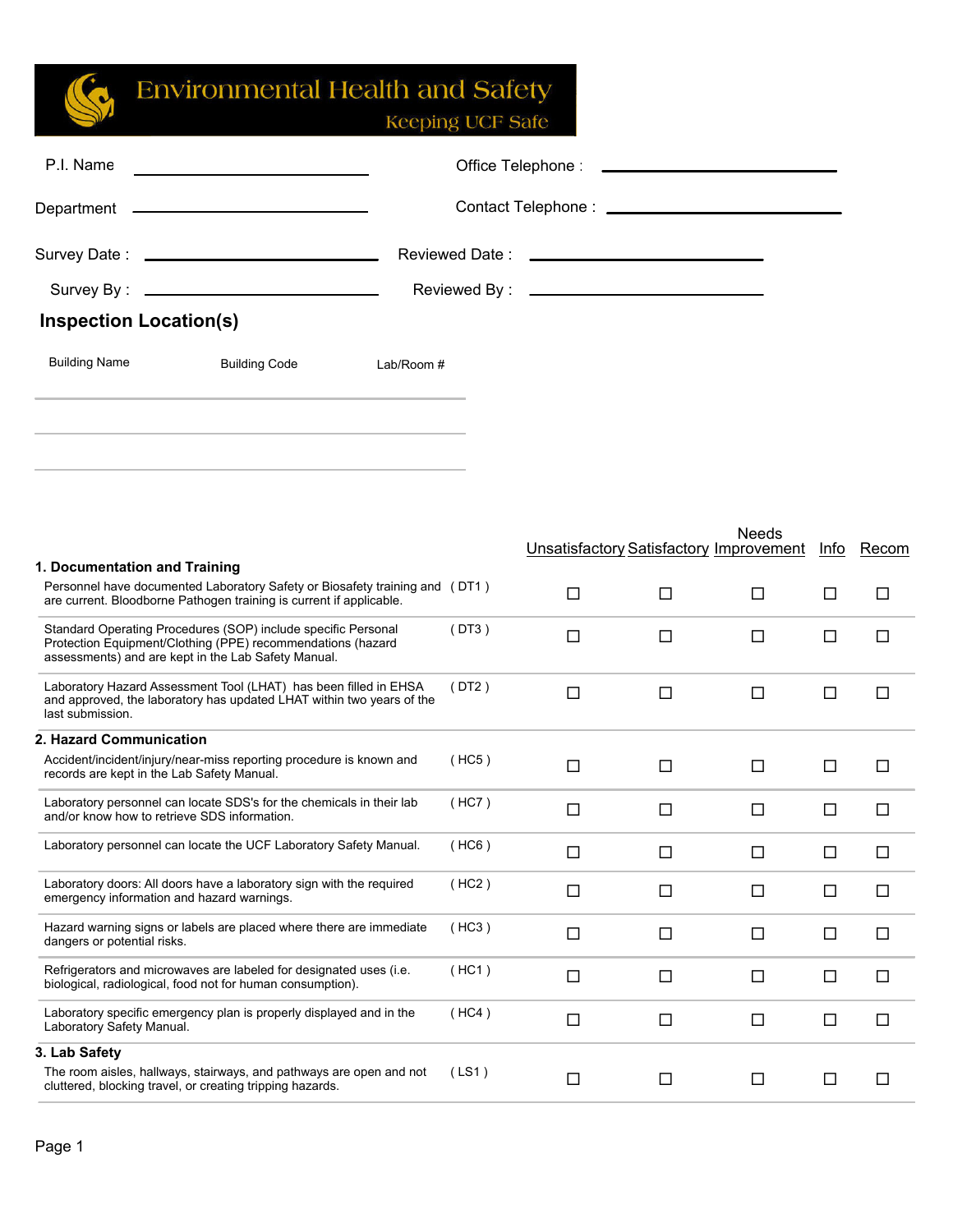| P.I. Name                                    |                                                                                                                                                                                                                               |            |       |                                                |        |        |        |        |
|----------------------------------------------|-------------------------------------------------------------------------------------------------------------------------------------------------------------------------------------------------------------------------------|------------|-------|------------------------------------------------|--------|--------|--------|--------|
|                                              |                                                                                                                                                                                                                               |            |       |                                                |        |        |        |        |
|                                              |                                                                                                                                                                                                                               |            |       |                                                |        |        |        |        |
|                                              |                                                                                                                                                                                                                               |            |       |                                                |        |        |        |        |
| <b>Inspection Location(s)</b>                |                                                                                                                                                                                                                               |            |       |                                                |        |        |        |        |
| <b>Building Name</b>                         | <b>Building Code</b>                                                                                                                                                                                                          | Lab/Room # |       |                                                |        |        |        |        |
|                                              | the control of the control of the control of the control of the control of the control of the control of the control of the control of the control of the control of the control of the control of the control of the control |            |       |                                                |        | Needs  |        |        |
| 1. Documentation and Training                |                                                                                                                                                                                                                               |            |       | <b>Unsatisfactory Satisfactory Improvement</b> |        |        | Info   | Recom  |
|                                              | Personnel have documented Laboratory Safety or Biosafety training and (DT1)<br>are current. Bloodborne Pathogen training is current if applicable.                                                                            |            |       | □                                              | $\Box$ | □      | □      | $\Box$ |
|                                              | Standard Operating Procedures (SOP) include specific Personal<br>Protection Equipment/Clothing (PPE) recommendations (hazard<br>assessments) and are kept in the Lab Safety Manual.                                           |            | (DT3) | $\Box$                                         | $\Box$ | $\Box$ | $\Box$ | $\Box$ |
| last submission.                             | Laboratory Hazard Assessment Tool (LHAT) has been filled in EHSA<br>and approved, the laboratory has updated LHAT within two years of the                                                                                     |            | (DT2) | □                                              | $\Box$ | $\Box$ | □      | □      |
| 2. Hazard Communication                      |                                                                                                                                                                                                                               |            |       |                                                |        |        |        |        |
| records are kept in the Lab Safety Manual.   | Accident/incident/injury/near-miss reporting procedure is known and                                                                                                                                                           |            | (HC5) | □                                              | $\Box$ | □      | □      | $\Box$ |
| and/or know how to retrieve SDS information. | Laboratory personnel can locate SDS's for the chemicals in their lab                                                                                                                                                          |            | (HC7) | $\Box$                                         | $\Box$ | $\Box$ | □      | $\Box$ |
|                                              | Laboratory personnel can locate the UCF Laboratory Safety Manual.                                                                                                                                                             |            | (HC6) | $\Box$                                         | $\Box$ | $\Box$ | $\Box$ | □      |
| emergency information and hazard warnings.   | Laboratory doors: All doors have a laboratory sign with the required                                                                                                                                                          |            | (HC2) | $\Box$                                         | $\Box$ | $\Box$ | $\Box$ | $\Box$ |
| dangers or potential risks.                  | Hazard warning signs or labels are placed where there are immediate                                                                                                                                                           |            | (HC3) | $\Box$                                         | $\Box$ | $\Box$ | $\Box$ | $\Box$ |
|                                              | Refrigerators and microwaves are labeled for designated uses (i.e.<br>biological, radiological, food not for human consumption).                                                                                              |            | (HC1) | $\Box$                                         | $\Box$ | $\Box$ | $\Box$ | $\Box$ |
| Laboratory Safety Manual.                    | Laboratory specific emergency plan is properly displayed and in the                                                                                                                                                           |            | (HC4) | $\Box$                                         | $\Box$ | $\Box$ | $\Box$ | $\Box$ |
| 3. Lab Safety                                | The room aisles, hallways, stairways, and pathways are open and not<br>cluttered, blocking travel, or creating tripping hazards.                                                                                              |            | (LS1) | $\Box$                                         | $\Box$ | $\Box$ | $\Box$ | $\Box$ |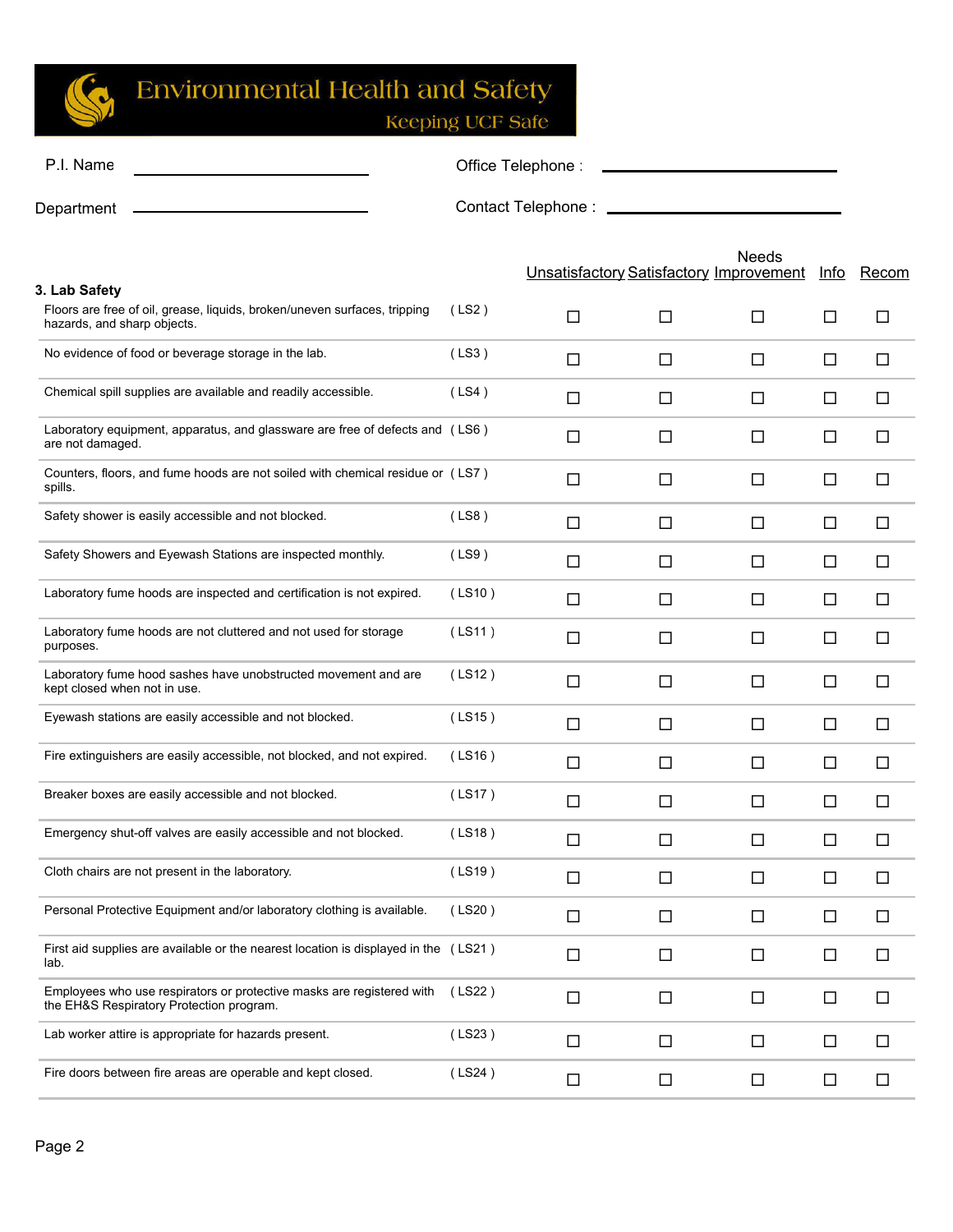

Keeping UCF Safe

Needs

| P.I. Name  | Office Telephone:  |
|------------|--------------------|
| Department | Contact Telephone: |

|                                                                                                                           |        | <b>Unsatisfactory Satisfactory Improvement</b> |        |   | Info   | Recom  |
|---------------------------------------------------------------------------------------------------------------------------|--------|------------------------------------------------|--------|---|--------|--------|
| 3. Lab Safety<br>Floors are free of oil, grease, liquids, broken/uneven surfaces, tripping<br>hazards, and sharp objects. | (LS2)  | $\Box$                                         | □      | □ | □      | □      |
| No evidence of food or beverage storage in the lab.                                                                       | (LS3)  | $\Box$                                         | $\Box$ | □ | □      | $\Box$ |
| Chemical spill supplies are available and readily accessible.                                                             | (LS4)  | $\Box$                                         | $\Box$ | □ | □      | $\Box$ |
| Laboratory equipment, apparatus, and glassware are free of defects and (LS6)<br>are not damaged.                          |        | $\Box$                                         | $\Box$ | □ | $\Box$ | $\Box$ |
| Counters, floors, and fume hoods are not soiled with chemical residue or (LS7)<br>spills.                                 |        | □                                              | $\Box$ | □ | $\Box$ | □      |
| Safety shower is easily accessible and not blocked.                                                                       | (LS8)  | $\Box$                                         | $\Box$ | □ | □      | □      |
| Safety Showers and Eyewash Stations are inspected monthly.                                                                | (LS9)  | $\Box$                                         | $\Box$ | □ | $\Box$ | □      |
| Laboratory fume hoods are inspected and certification is not expired.                                                     | (LS10) | $\Box$                                         | $\Box$ | □ | □      | $\Box$ |
| Laboratory fume hoods are not cluttered and not used for storage<br>purposes.                                             | (LS11) | $\Box$                                         | $\Box$ | □ | □      | □      |
| Laboratory fume hood sashes have unobstructed movement and are<br>kept closed when not in use.                            | (LS12) | $\Box$                                         | $\Box$ | □ | □      | □      |
| Eyewash stations are easily accessible and not blocked.                                                                   | (LS15) | $\Box$                                         | $\Box$ | □ | □      | $\Box$ |
| Fire extinguishers are easily accessible, not blocked, and not expired.                                                   | (LS16) | $\Box$                                         | $\Box$ | □ | □      | $\Box$ |
| Breaker boxes are easily accessible and not blocked.                                                                      | (LS17) | $\Box$                                         | $\Box$ | □ | $\Box$ | $\Box$ |
| Emergency shut-off valves are easily accessible and not blocked.                                                          | (LS18) | $\Box$                                         | $\Box$ | □ | $\Box$ | $\Box$ |
| Cloth chairs are not present in the laboratory.                                                                           | (LS19) | □                                              | $\Box$ | □ | □      | $\Box$ |
| Personal Protective Equipment and/or laboratory clothing is available.                                                    | (LS20) | $\Box$                                         | $\Box$ | □ | □      | $\Box$ |
| First aid supplies are available or the nearest location is displayed in the (LS21)<br>lab.                               |        | □                                              | $\Box$ | П | □      | □      |
| Employees who use respirators or protective masks are registered with<br>the EH&S Respiratory Protection program.         | (LS22) | $\Box$                                         | $\Box$ | □ | $\Box$ | $\Box$ |
| Lab worker attire is appropriate for hazards present.                                                                     | (LS23) | $\Box$                                         | $\Box$ | □ | $\Box$ | $\Box$ |
| Fire doors between fire areas are operable and kept closed.                                                               | (LS24) | $\Box$                                         | $\Box$ | □ | $\Box$ | $\Box$ |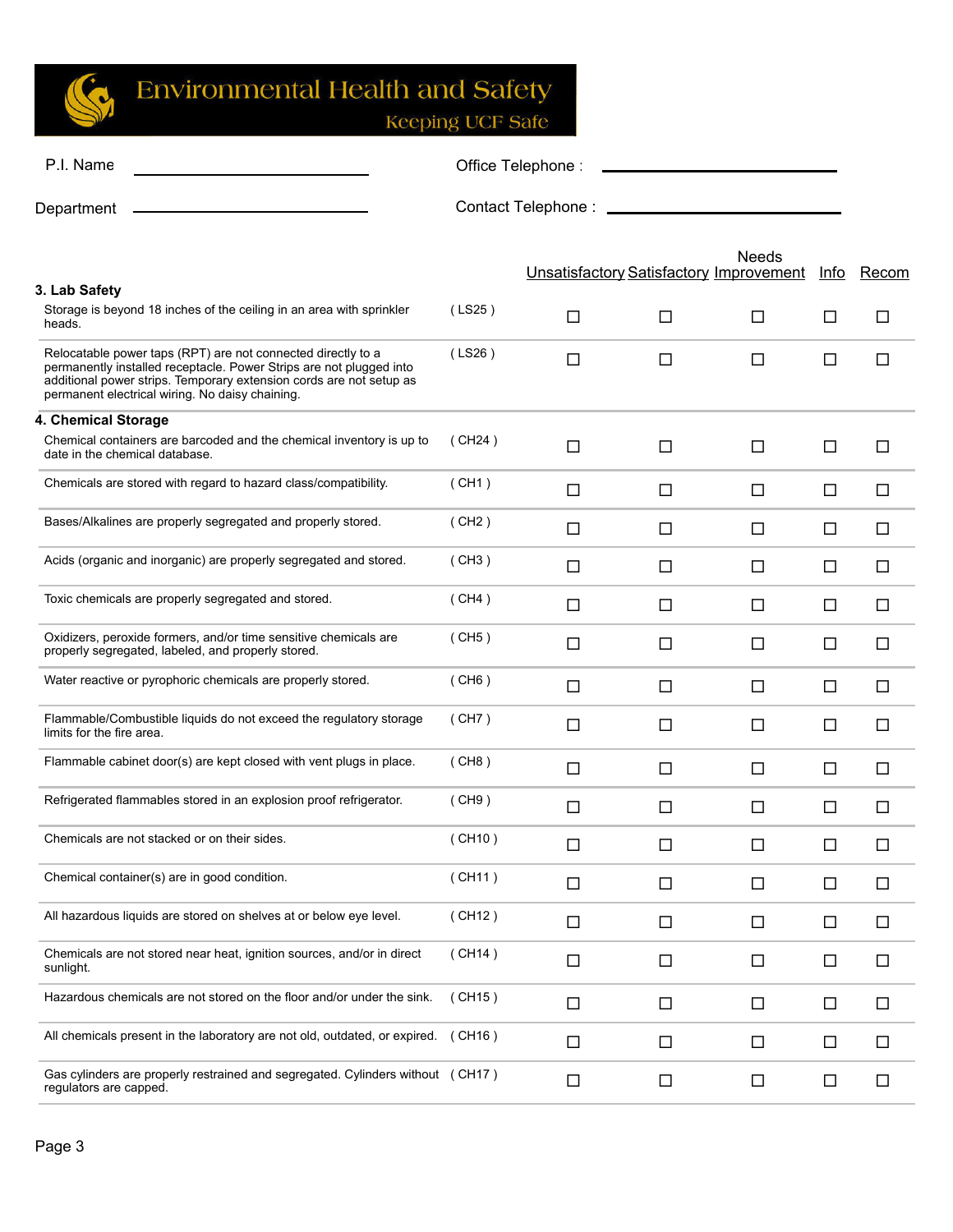

| P.I. Name                                                                                                                                                                                                                                                     | Office Telephone<br><u> 1989 - John Stone, Amerikaansk politiker (</u> |                                                |        |        |        |        |
|---------------------------------------------------------------------------------------------------------------------------------------------------------------------------------------------------------------------------------------------------------------|------------------------------------------------------------------------|------------------------------------------------|--------|--------|--------|--------|
| Department                                                                                                                                                                                                                                                    |                                                                        |                                                |        |        |        |        |
| 3. Lab Safety                                                                                                                                                                                                                                                 |                                                                        | <b>Unsatisfactory Satisfactory Improvement</b> |        | Needs  | Info   | Recom  |
| Storage is beyond 18 inches of the ceiling in an area with sprinkler<br>heads.                                                                                                                                                                                | (LS25)                                                                 | $\Box$                                         | □      | □      | □      | $\Box$ |
| Relocatable power taps (RPT) are not connected directly to a<br>permanently installed receptacle. Power Strips are not plugged into<br>additional power strips. Temporary extension cords are not setup as<br>permanent electrical wiring. No daisy chaining. | (LS26)                                                                 | $\Box$                                         | $\Box$ | $\Box$ | □      | □      |
| 4. Chemical Storage                                                                                                                                                                                                                                           |                                                                        |                                                |        |        |        |        |
| Chemical containers are barcoded and the chemical inventory is up to<br>date in the chemical database.                                                                                                                                                        | (CH24)                                                                 | $\Box$                                         | $\Box$ | $\Box$ | □      | $\Box$ |
| Chemicals are stored with regard to hazard class/compatibility.                                                                                                                                                                                               | (CH1)                                                                  | $\Box$                                         | $\Box$ | $\Box$ | □      | □      |
| Bases/Alkalines are properly segregated and properly stored.                                                                                                                                                                                                  | (CH2)                                                                  | □                                              | □      | $\Box$ | □      | □      |
| Acids (organic and inorganic) are properly segregated and stored.                                                                                                                                                                                             | (CH3)                                                                  | □                                              | □      | $\Box$ | □      | □      |
| Toxic chemicals are properly segregated and stored.                                                                                                                                                                                                           | (CH4)                                                                  | $\Box$                                         | $\Box$ | $\Box$ | □      | □      |
| Oxidizers, peroxide formers, and/or time sensitive chemicals are<br>properly segregated, labeled, and properly stored.                                                                                                                                        | (CH5)                                                                  | □                                              | □      | □      | □      | □      |
| Water reactive or pyrophoric chemicals are properly stored.                                                                                                                                                                                                   | (CH6)                                                                  | □                                              | □      | □      | □      | □      |
| Flammable/Combustible liquids do not exceed the regulatory storage<br>limits for the fire area.                                                                                                                                                               | (CH7)                                                                  | □                                              | □      | □      | □      | □      |
| Flammable cabinet door(s) are kept closed with vent plugs in place.                                                                                                                                                                                           | (CH8)                                                                  | □                                              | □      | $\Box$ | □      | □      |
| Refrigerated flammables stored in an explosion proof refrigerator.                                                                                                                                                                                            | (CH9)                                                                  | $\Box$                                         | $\Box$ | $\Box$ | □      | □      |
| Chemicals are not stacked or on their sides.                                                                                                                                                                                                                  | (CH10)                                                                 | □                                              | П      | П      | □      | П      |
| Chemical container(s) are in good condition.                                                                                                                                                                                                                  | (CH11)                                                                 | $\Box$                                         | $\Box$ | $\Box$ | $\Box$ | $\Box$ |
| All hazardous liquids are stored on shelves at or below eye level.                                                                                                                                                                                            | (CH12)                                                                 | $\Box$                                         | $\Box$ | $\Box$ | $\Box$ | $\Box$ |
| Chemicals are not stored near heat, ignition sources, and/or in direct<br>sunlight.                                                                                                                                                                           | (CH14)                                                                 | $\Box$                                         | $\Box$ | $\Box$ | $\Box$ | $\Box$ |
| Hazardous chemicals are not stored on the floor and/or under the sink.                                                                                                                                                                                        | (CH15)                                                                 | $\Box$                                         | $\Box$ | $\Box$ | $\Box$ | $\Box$ |
| All chemicals present in the laboratory are not old, outdated, or expired. (CH16)                                                                                                                                                                             |                                                                        | $\Box$                                         | $\Box$ | $\Box$ | $\Box$ | $\Box$ |
| Gas cylinders are properly restrained and segregated. Cylinders without (CH17)<br>regulators are capped.                                                                                                                                                      |                                                                        | $\Box$                                         | $\Box$ | $\Box$ | $\Box$ | $\Box$ |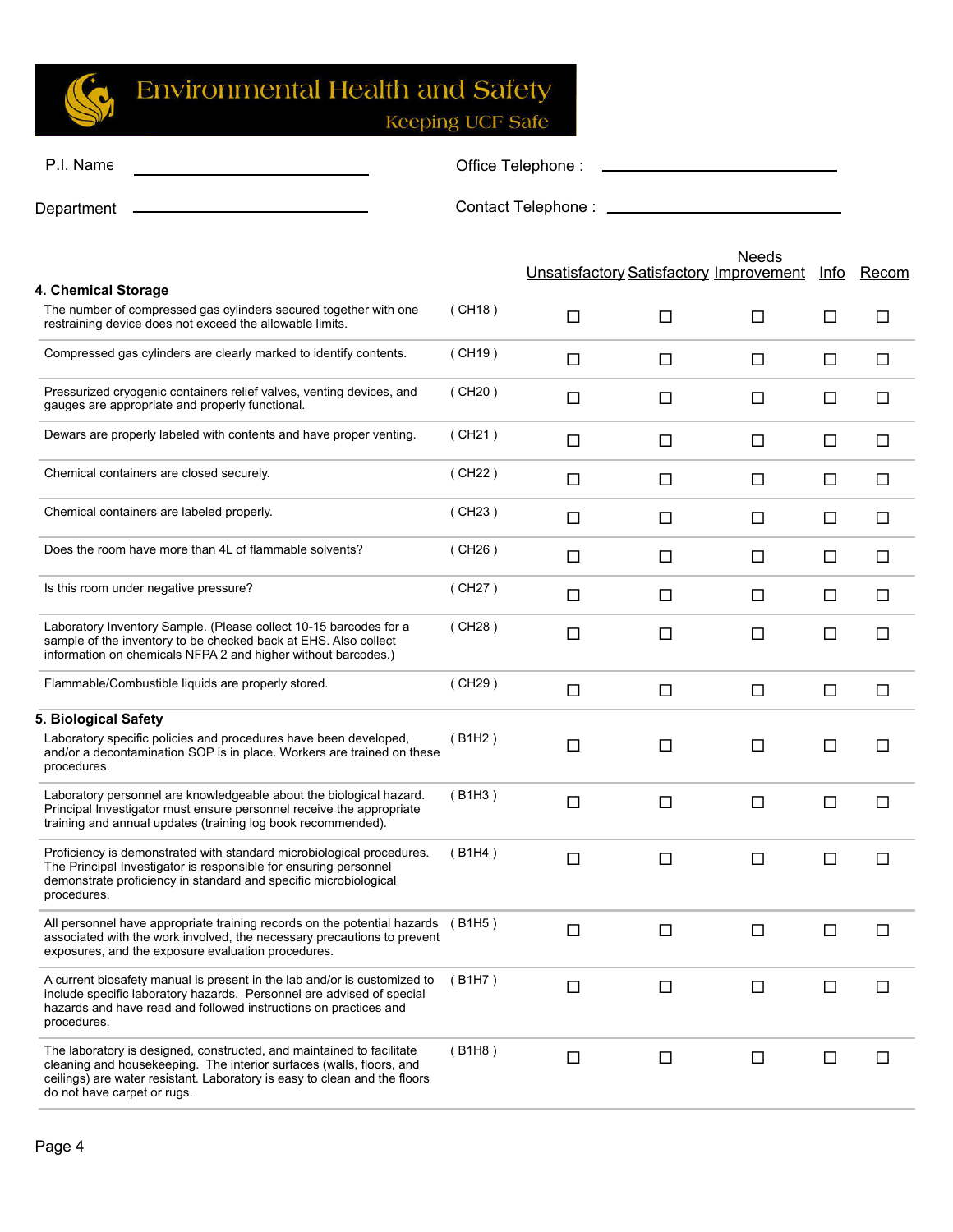

| P.I. Name                                                                                                                                                                                                                                                 |        | Office Telephone               |        |                                                         |        |        |
|-----------------------------------------------------------------------------------------------------------------------------------------------------------------------------------------------------------------------------------------------------------|--------|--------------------------------|--------|---------------------------------------------------------|--------|--------|
| Department                                                                                                                                                                                                                                                |        | Contact Telephone: ___________ |        |                                                         |        |        |
| 4. Chemical Storage                                                                                                                                                                                                                                       |        |                                |        | Needs<br><b>Unsatisfactory Satisfactory Improvement</b> | Info   | Recom  |
| The number of compressed gas cylinders secured together with one<br>restraining device does not exceed the allowable limits.                                                                                                                              | (CH18) | □                              | $\Box$ | □                                                       | $\Box$ | □      |
| Compressed gas cylinders are clearly marked to identify contents.                                                                                                                                                                                         | (CH19) | □                              | □      | □                                                       | □      | $\Box$ |
| Pressurized cryogenic containers relief valves, venting devices, and<br>gauges are appropriate and properly functional.                                                                                                                                   | (CH20) | □                              | □      | □                                                       | □      | □      |
| Dewars are properly labeled with contents and have proper venting.                                                                                                                                                                                        | (CH21) | $\Box$                         | □      | □                                                       | □      | $\Box$ |
| Chemical containers are closed securely.                                                                                                                                                                                                                  | (CH22) | $\Box$                         | $\Box$ | □                                                       | □      | □      |
| Chemical containers are labeled properly.                                                                                                                                                                                                                 | (CH23) | □                              | $\Box$ | □                                                       | □      | $\Box$ |
| Does the room have more than 4L of flammable solvents?                                                                                                                                                                                                    | (CH26) | □                              | □      | □                                                       | □      | $\Box$ |
| Is this room under negative pressure?                                                                                                                                                                                                                     | (CH27) | □                              | □      | □                                                       | $\Box$ | □      |
| Laboratory Inventory Sample. (Please collect 10-15 barcodes for a<br>sample of the inventory to be checked back at EHS. Also collect<br>information on chemicals NFPA 2 and higher without barcodes.)                                                     | (CH28) | $\Box$                         | $\Box$ | П                                                       | □      | □      |
| Flammable/Combustible liquids are properly stored.                                                                                                                                                                                                        | (CH29) | □                              | $\Box$ | □                                                       | $\Box$ | □      |
| 5. Biological Safety<br>Laboratory specific policies and procedures have been developed,<br>and/or a decontamination SOP is in place. Workers are trained on these<br>procedures.                                                                         | (B1H2) | □                              | $\Box$ | □                                                       | □      | П      |
| Laboratory personnel are knowledgeable about the biological hazard.<br>Principal Investigator must ensure personnel receive the appropriate<br>training and annual updates (training log book recommended).                                               | (B1H3) | □                              | $\Box$ | □                                                       | $\Box$ | П      |
| Proficiency is demonstrated with standard microbiological procedures.<br>The Principal Investigator is responsible for ensuring personnel<br>demonstrate proficiency in standard and specific microbiological<br>procedures.                              | (B1H4) | $\Box$                         | $\Box$ |                                                         | ப      |        |
| All personnel have appropriate training records on the potential hazards<br>associated with the work involved, the necessary precautions to prevent<br>exposures, and the exposure evaluation procedures.                                                 | (B1H5) | $\Box$                         | $\Box$ | □                                                       | $\Box$ | $\Box$ |
| A current biosafety manual is present in the lab and/or is customized to<br>include specific laboratory hazards. Personnel are advised of special<br>hazards and have read and followed instructions on practices and<br>procedures.                      | (B1H7) | $\Box$                         | $\Box$ | □                                                       | $\Box$ | $\Box$ |
| The laboratory is designed, constructed, and maintained to facilitate<br>cleaning and housekeeping. The interior surfaces (walls, floors, and<br>ceilings) are water resistant. Laboratory is easy to clean and the floors<br>do not have carpet or rugs. | (B1H8) | $\Box$                         | $\Box$ | □                                                       | $\Box$ | $\Box$ |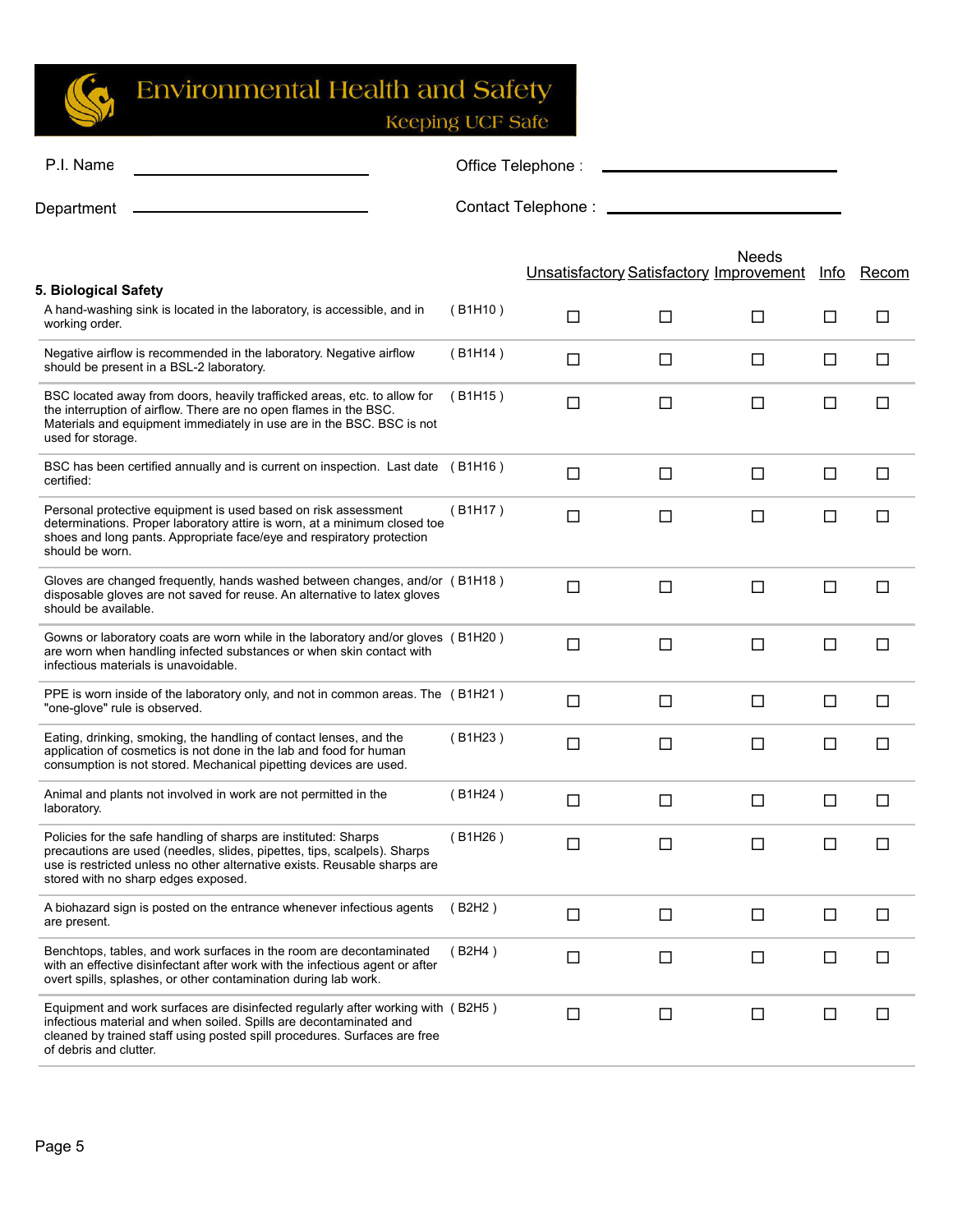

| P.I. Name                                                                                                                                                                                                                                                       |         | Office Telephone:                              |        |        |        |        |
|-----------------------------------------------------------------------------------------------------------------------------------------------------------------------------------------------------------------------------------------------------------------|---------|------------------------------------------------|--------|--------|--------|--------|
| Department                                                                                                                                                                                                                                                      |         | Contact Telephone : _______________            |        |        |        |        |
|                                                                                                                                                                                                                                                                 |         | <b>Unsatisfactory Satisfactory Improvement</b> |        | Needs  | Info   | Recom  |
| 5. Biological Safety<br>A hand-washing sink is located in the laboratory, is accessible, and in                                                                                                                                                                 | (B1H10) |                                                |        |        |        |        |
| working order.                                                                                                                                                                                                                                                  |         | □                                              | $\Box$ | □      | □      | □      |
| Negative airflow is recommended in the laboratory. Negative airflow<br>should be present in a BSL-2 laboratory.                                                                                                                                                 | (B1H14) | □                                              | □      | $\Box$ | □      | $\Box$ |
| BSC located away from doors, heavily trafficked areas, etc. to allow for<br>the interruption of airflow. There are no open flames in the BSC.<br>Materials and equipment immediately in use are in the BSC. BSC is not<br>used for storage.                     | (B1H15) | □                                              | □      | □      | □      | □      |
| BSC has been certified annually and is current on inspection. Last date (B1H16)<br>certified:                                                                                                                                                                   |         | □                                              | $\Box$ | $\Box$ | $\Box$ | $\Box$ |
| Personal protective equipment is used based on risk assessment<br>determinations. Proper laboratory attire is worn, at a minimum closed toe<br>shoes and long pants. Appropriate face/eye and respiratory protection<br>should be worn.                         | (B1H17) | □                                              | $\Box$ | □      | □      | П      |
| Gloves are changed frequently, hands washed between changes, and/or (B1H18)<br>disposable gloves are not saved for reuse. An alternative to latex gloves<br>should be available.                                                                                |         | $\Box$                                         | $\Box$ | $\Box$ | $\Box$ | □      |
| Gowns or laboratory coats are worn while in the laboratory and/or gloves (B1H20)<br>are worn when handling infected substances or when skin contact with<br>infectious materials is unavoidable.                                                                |         | □                                              | $\Box$ | $\Box$ | $\Box$ | □      |
| PPE is worn inside of the laboratory only, and not in common areas. The (B1H21)<br>"one-glove" rule is observed.                                                                                                                                                |         | □                                              | □      | □      | □      | □      |
| Eating, drinking, smoking, the handling of contact lenses, and the<br>application of cosmetics is not done in the lab and food for human<br>consumption is not stored. Mechanical pipetting devices are used.                                                   | (B1H23) | $\Box$                                         | $\Box$ | □      | $\Box$ | □      |
| Animal and plants not involved in work are not permitted in the<br>laboratory.                                                                                                                                                                                  | (B1H24) | □                                              | $\Box$ | $\Box$ | $\Box$ | $\Box$ |
| Policies for the safe handling of sharps are instituted: Sharps<br>precautions are used (needles, slides, pipettes, tips, scalpels). Sharps<br>use is restricted unless no other alternative exists. Reusable sharps are<br>stored with no sharp edges exposed. | (B1H26) | □                                              | П      | П      | П      | П      |
| A biohazard sign is posted on the entrance whenever infectious agents<br>are present.                                                                                                                                                                           | (B2H2)  | $\Box$                                         | $\Box$ | $\Box$ | $\Box$ | □      |
| Benchtops, tables, and work surfaces in the room are decontaminated<br>with an effective disinfectant after work with the infectious agent or after<br>overt spills, splashes, or other contamination during lab work.                                          | (B2H4)  | $\Box$                                         | $\Box$ | $\Box$ | □      | □      |
| Equipment and work surfaces are disinfected regularly after working with (B2H5)<br>infectious material and when soiled. Spills are decontaminated and<br>cleaned by trained staff using posted spill procedures. Surfaces are free<br>of debris and clutter.    |         | $\Box$                                         | $\Box$ | $\Box$ | $\Box$ | □      |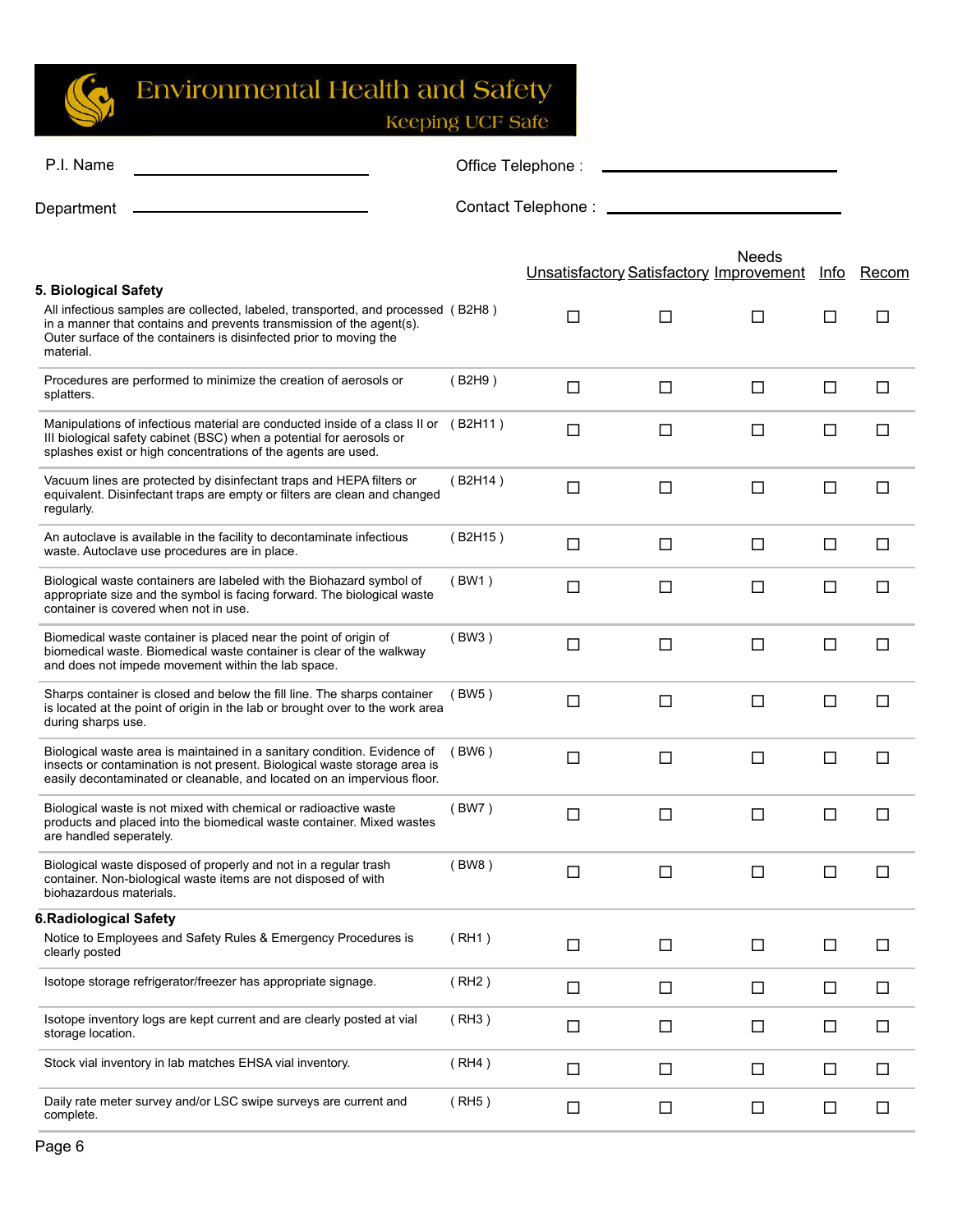$\mathbb{C}$ 

## **Environmental Health and Safety**

| P.I. Name                                                                                                                                                                                                                                   |         | Office Telephone:                              |        |              |        |        |
|---------------------------------------------------------------------------------------------------------------------------------------------------------------------------------------------------------------------------------------------|---------|------------------------------------------------|--------|--------------|--------|--------|
| Department                                                                                                                                                                                                                                  |         | Contact Telephone: __________                  |        |              |        |        |
| 5. Biological Safety                                                                                                                                                                                                                        |         | <b>Unsatisfactory Satisfactory Improvement</b> |        | <b>Needs</b> | Info   | Recom  |
| All infectious samples are collected, labeled, transported, and processed (B2H8)<br>in a manner that contains and prevents transmission of the agent(s).<br>Outer surface of the containers is disinfected prior to moving the<br>material. |         | □                                              | $\Box$ | □            | П      | $\Box$ |
| Procedures are performed to minimize the creation of aerosols or<br>splatters.                                                                                                                                                              | (B2H9)  | $\Box$                                         | $\Box$ | □            | □      | $\Box$ |
| Manipulations of infectious material are conducted inside of a class II or (B2H11)<br>III biological safety cabinet (BSC) when a potential for aerosols or<br>splashes exist or high concentrations of the agents are used.                 |         | □                                              | $\Box$ | □            | □      | $\Box$ |
| Vacuum lines are protected by disinfectant traps and HEPA filters or<br>equivalent. Disinfectant traps are empty or filters are clean and changed<br>regularly.                                                                             | (B2H14) | □                                              | $\Box$ | □            | □      | □      |
| An autoclave is available in the facility to decontaminate infectious<br>waste. Autoclave use procedures are in place.                                                                                                                      | (B2H15) | □                                              | $\Box$ | $\Box$       | □      | $\Box$ |
| Biological waste containers are labeled with the Biohazard symbol of<br>appropriate size and the symbol is facing forward. The biological waste<br>container is covered when not in use.                                                    | (BW1)   | □                                              | $\Box$ | □            | □      | □      |
| Biomedical waste container is placed near the point of origin of<br>biomedical waste. Biomedical waste container is clear of the walkway<br>and does not impede movement within the lab space.                                              | (BW3)   | □                                              | $\Box$ | □            | □      | □      |
| Sharps container is closed and below the fill line. The sharps container<br>is located at the point of origin in the lab or brought over to the work area<br>during sharps use.                                                             | (BW5)   | □                                              | $\Box$ | □            | □      | □      |
| Biological waste area is maintained in a sanitary condition. Evidence of<br>insects or contamination is not present. Biological waste storage area is<br>easily decontaminated or cleanable, and located on an impervious floor.            | (BW6)   | □                                              | $\Box$ | $\Box$       | □      | □      |
| Biological waste is not mixed with chemical or radioactive waste<br>products and placed into the biomedical waste container. Mixed wastes<br>are handled seperately.                                                                        | (BW7)   | □                                              | $\Box$ | $\Box$       | □      | □      |
| Biological waste disposed of properly and not in a regular trash<br>container. Non-biological waste items are not disposed of with<br>biohazardous materials.                                                                               | (BW8)   | $\Box$                                         | $\Box$ | $\Box$       | □      | □      |
| <b>6.Radiological Safety</b>                                                                                                                                                                                                                |         |                                                |        |              |        |        |
| Notice to Employees and Safety Rules & Emergency Procedures is<br>clearly posted                                                                                                                                                            | (RH1)   | $\Box$                                         | $\Box$ | $\Box$       | □      | □      |
| Isotope storage refrigerator/freezer has appropriate signage.                                                                                                                                                                               | (RH2)   | $\Box$                                         | $\Box$ | □            | $\Box$ | $\Box$ |
| Isotope inventory logs are kept current and are clearly posted at vial<br>storage location.                                                                                                                                                 | (RH3)   | □                                              | $\Box$ | $\Box$       | □      | $\Box$ |
| Stock vial inventory in lab matches EHSA vial inventory.                                                                                                                                                                                    | (RH4)   | □                                              | $\Box$ | □            | □      | □      |
| Daily rate meter survey and/or LSC swipe surveys are current and<br>complete.                                                                                                                                                               | (RH5)   | $\Box$                                         | $\Box$ | $\Box$       | □      | $\Box$ |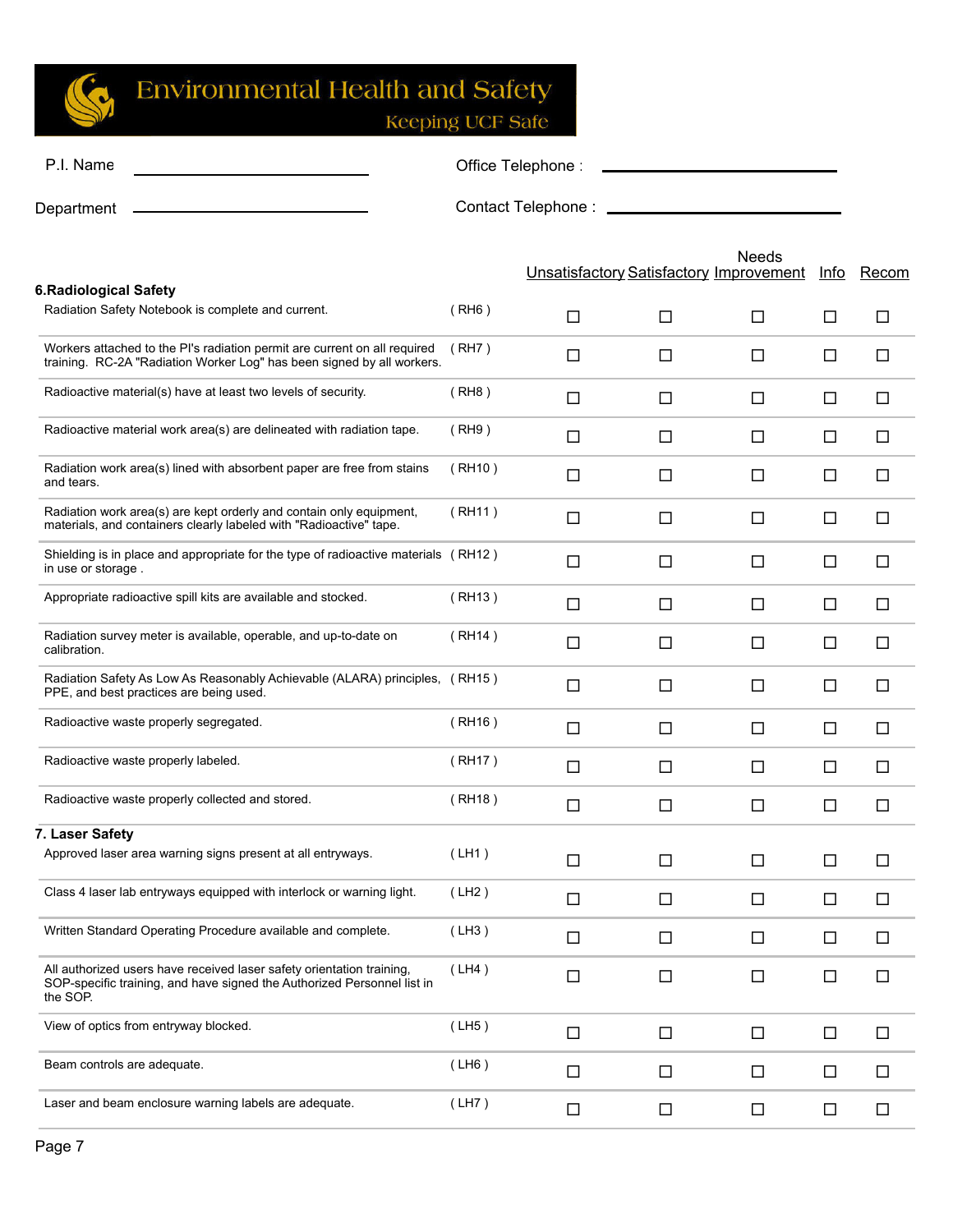

| P.I. Name  | Office Telephone:  |
|------------|--------------------|
| Department | Contact Telephone: |

|                                                                         |                                                                                                                                                                                                                                                                                                                          |        | Needs  | Info                                    | Recom  |
|-------------------------------------------------------------------------|--------------------------------------------------------------------------------------------------------------------------------------------------------------------------------------------------------------------------------------------------------------------------------------------------------------------------|--------|--------|-----------------------------------------|--------|
|                                                                         |                                                                                                                                                                                                                                                                                                                          |        |        |                                         |        |
| (RH6)                                                                   | □                                                                                                                                                                                                                                                                                                                        | $\Box$ | □      | □                                       | □      |
| (RH7)                                                                   | □                                                                                                                                                                                                                                                                                                                        | □      | □      | □                                       | □      |
| (RH8)                                                                   | □                                                                                                                                                                                                                                                                                                                        | $\Box$ | □      | $\Box$                                  | $\Box$ |
| (RH9)                                                                   | $\Box$                                                                                                                                                                                                                                                                                                                   | $\Box$ | $\Box$ | $\Box$                                  | $\Box$ |
| (RH10)                                                                  | □                                                                                                                                                                                                                                                                                                                        | □      | □      | $\Box$                                  | □      |
| (RH11)                                                                  | □                                                                                                                                                                                                                                                                                                                        | $\Box$ | □      | $\Box$                                  | □      |
|                                                                         | □                                                                                                                                                                                                                                                                                                                        | $\Box$ | $\Box$ | $\Box$                                  | □      |
| (RH13)                                                                  | $\Box$                                                                                                                                                                                                                                                                                                                   | $\Box$ | $\Box$ | $\Box$                                  | $\Box$ |
| (RH14)                                                                  | $\Box$                                                                                                                                                                                                                                                                                                                   | $\Box$ | $\Box$ | $\Box$                                  | $\Box$ |
|                                                                         | $\Box$                                                                                                                                                                                                                                                                                                                   | $\Box$ | □      | $\Box$                                  | □      |
| (RH16)                                                                  | □                                                                                                                                                                                                                                                                                                                        | $\Box$ | □      | $\Box$                                  | □      |
| (RH17)                                                                  | □                                                                                                                                                                                                                                                                                                                        | $\Box$ | □      | $\Box$                                  | $\Box$ |
| (RH18)                                                                  | $\Box$                                                                                                                                                                                                                                                                                                                   | $\Box$ | □      | $\Box$                                  | $\Box$ |
|                                                                         |                                                                                                                                                                                                                                                                                                                          |        |        |                                         |        |
| (LH1)                                                                   | □                                                                                                                                                                                                                                                                                                                        | $\Box$ | □      | $\Box$                                  | $\Box$ |
| (LH2)                                                                   | $\Box$                                                                                                                                                                                                                                                                                                                   | $\Box$ | □      | $\Box$                                  | $\Box$ |
| (LH3)                                                                   | $\Box$                                                                                                                                                                                                                                                                                                                   | □      | □      | □                                       | □      |
| (LH4)                                                                   | □                                                                                                                                                                                                                                                                                                                        | $\Box$ | $\Box$ | $\Box$                                  | $\Box$ |
| (LH5)                                                                   | $\Box$                                                                                                                                                                                                                                                                                                                   | $\Box$ | $\Box$ | $\Box$                                  | $\Box$ |
| (LH6)                                                                   | $\Box$                                                                                                                                                                                                                                                                                                                   | $\Box$ | $\Box$ | $\Box$                                  | $\Box$ |
| (LH7)                                                                   | $\Box$                                                                                                                                                                                                                                                                                                                   | $\Box$ | $\Box$ | $\Box$                                  | $\Box$ |
| SOP-specific training, and have signed the Authorized Personnel list in | Workers attached to the PI's radiation permit are current on all required<br>training. RC-2A "Radiation Worker Log" has been signed by all workers.<br>Shielding is in place and appropriate for the type of radioactive materials (RH12)<br>Radiation Safety As Low As Reasonably Achievable (ALARA) principles, (RH15) |        |        | Unsatisfactory Satisfactory Improvement |        |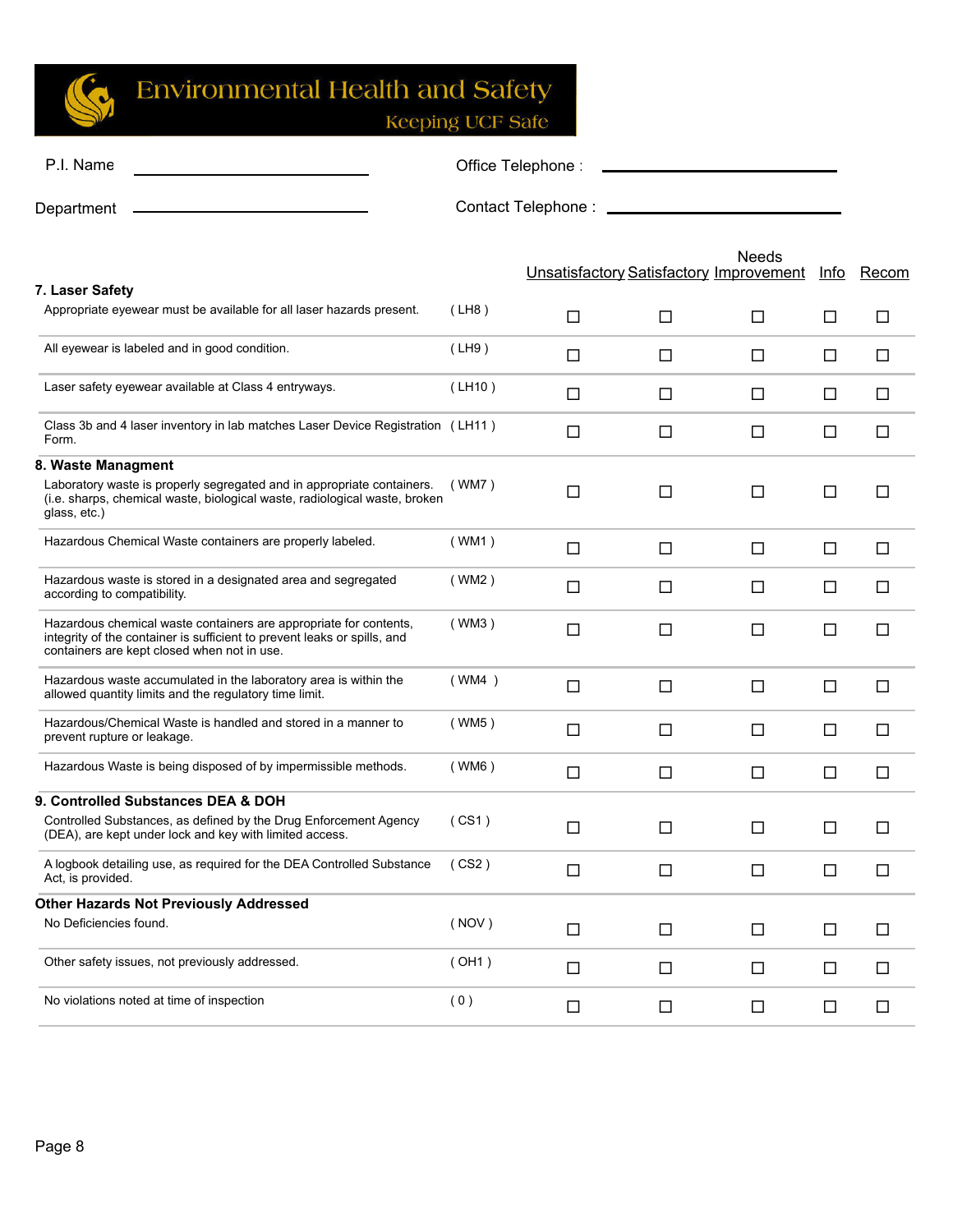

**Keeping UCF Safe** 

| P.I. Name  | Office Telephone:  |
|------------|--------------------|
| Department | Contact Telephone: |

Unsatisfactory Satisfactory Improvement Info Recom Needs **7. Laser Safety** Appropriate eyewear must be available for all laser hazards present.  $($  LH8  $)$   $\qquad \qquad \Box$   $\qquad \Box$   $\qquad \Box$   $\qquad \Box$ All eyewear is labeled and in good condition.  $($  LH9  $)$   $\Box$   $\Box$   $\Box$   $\Box$   $\Box$ Laser safety eyewear available at Class 4 entryways.  $\Box$   $\Box$   $\Box$   $\Box$   $\Box$ Class 3b and 4 laser inventory in lab matches Laser Device Registration (LH11) <br>Form. **8. Waste Managment** Laboratory waste is properly segregated and in appropriate containers. (i.e. sharps, chemical waste, biological waste, radiological waste, broken glass, etc.) ( WM7 ) Hazardous Chemical Waste containers are properly labeled.  $(WM1)$   $\square$   $\square$ Hazardous waste is stored in a designated area and segregated according to compatibility. ( WM2 ) Hazardous chemical waste containers are appropriate for contents, integrity of the container is sufficient to prevent leaks or spills, and containers are kept closed when not in use.  $(\text{WM3})$   $\Box$   $\Box$   $\Box$   $\Box$   $\Box$ Hazardous waste accumulated in the laboratory area is within the (WM4 ) <br>allowed quantity limits and the regulatory time limit. Hazardous/Chemical Waste is handled and stored in a manner to prevent rupture or leakage. ( WM5 ) Hazardous Waste is being disposed of by impermissible methods. (WM6)  $\Box$ **9. Controlled Substances DEA & DOH** Controlled Substances, as defined by the Drug Enforcement Agency (CS1) <br>(DEA), are kept under lock and key with limited access. A logbook detailing use, as required for the DEA Controlled Substance Act, is provided. ( CS2 ) **Other Hazards Not Previously Addressed**  No Deficiencies found. ( NOV ) Other safety issues, not previously addressed.  $(OH1)$   $\Box$   $\Box$   $\Box$ No violations noted at time of inspection  $(0)$   $\Box$   $\Box$   $\Box$   $\Box$